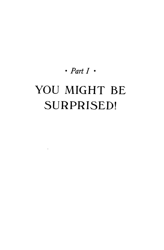*• Part I •* 

### YOU MIGHT BE SURPRISED!

 $\ddot{\phantom{a}}$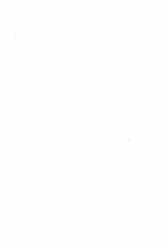$\label{eq:2} \mathcal{L} = \mathcal{L} \left( \mathcal{L} \right) \left( \mathcal{L} \right)$  $\mathcal{L}^{\text{max}}_{\text{max}}$  and  $\mathcal{L}^{\text{max}}_{\text{max}}$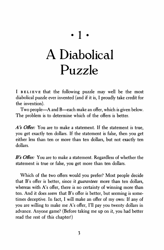### • 1 •

## A **Diabolical Puzzle**

I BELIEVE that the following puzzle may well be the most diabolical puzzle ever invented (and if it is, I proudly take credit for the invention).

Two people—A and B—each make an offer, which is given below. The problem is to determine which of the offers is better.

A's Offer: You are to make a statement. If the statement is true, you get exactly ten dollars. If the statement is false, then you get either less than ten or more than ten dollars, but not exactly ten dollars.

B's Offer: You are to make a statement. Regardless of whether the statement is true or false, you get more than ten dollars.

Which of the two offers would you prefer? Most people decide that B's offer is better, since it *guarantees* more than ten dollars, whereas with A's offer, there is no certainty of winning more than ten. And it does *seem* that B's offer is better, but seeming is sometimes deceptive. In fact, I will make an offer of my own: If any of you are willing to make me A's offer, I'll pay you twenty dollars in advance. Anyone game? (Before taking me up on it, you had better read the rest of this chapter!)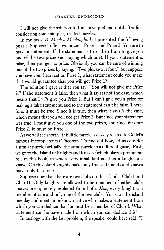I will not give the solution to the above problem until after first considering some simpler, related puzzles.

In my book *To Mock a Mockingbird,* I presented the following puzzle: Suppose I offer two prizes-Prize I and Prize 2. You are to make a statement. If the statement is true, then I am to give you one of the two prizes (not saying which one). If your statement is false, then you get no prize. Obviously you can be sure of winning one of the two prizes by saying: "Two plus two is four," but suppose you have your heart set on Prize I; what statement could you make that would guarantee that you will get Prize I?

The solution I gave is that you say: "You will not give me Prize 2." If the statement is false, then what it says is not the case, which means that I *will* give you Prize 2. But I can't give you a prize for making a false statement, and so the statement can't be false. Therefore, it must be true. Since it is true, then what it says *is* the case, which means that you will not get Prize 2. But since your statement was true, I must give you one of the two prizes, and since it is not Prize 2, it must be Prize 1.

As we will see shortly, this little puzzle is closely related to Gödel's famous Incompleteness Theorem. To find out how, let us consider a similar puzzle (actually, the same puzzle in a different guise). First, we go to the Island of Knights and Knaves (which plays a prominent role in this book) in which every inhabitant is either a knight or a knave. On this island knights make only true statements and knaves make only false ones.

Suppose now that there are two clubs on this island-Club I and Club II. Only knights are allowed to be members of either club; knaves are rigorously excluded from both. Also, every knight is a member of one and only one of the two clubs. You visit the island one day and meet an unknown native who makes a statement from which you can deduce that he must be a member of Club I. What statement can he have made from which you can deduce this?

In analogy with the last problem, the speaker could have said: "I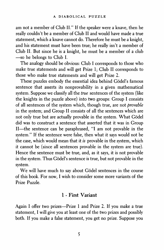am not a member of Club II." If the speaker were a knave, then he really couldn't be a member of Club II and would have made a true statement, which a knave cannot do. Therefore he must be a knight, and his statement must have been true; he really isn't a member of Club II. But since he is a knight, he must be a member of a club -so he belongs to Club I.

The analogy should be obvious: Club I corresponds to those who make true statements and will get Prize 1; Club II corresponds to those who make true statements and will get Prize 2.

These puzzles embody the essential idea behind Gödel's famous sentence that asserts its nonprovability in a given mathematical system. Suppose we classify all the *true* sentences of the system {like the knights in the puzzle above} into two groups: Croup I consists of all sentences of the system which, though true, are not *provable*  in the system; and Croup II consists of all the sentences which are not only true but are actually provable in the system. What Gödel did was to construct a sentence that asserted that it was in Croup II-the sentence can be paraphrased, "I am not provable in the system." If the sentence were false, then what it says would not be the case, which would mean that it *is* provable in the system, which it cannot be {since all sentences provable in the system are true}. Hence the sentence must be true, and, as it says, it is not provable in the system. Thus Gödel's sentence is true, but not provable in the system.

We will have much to say about Gödel sentences in the course of this book. For now, I wish to consider some more variants of the Prize Puzzle.

#### 1 . **First Variant**

Again I offer two prizes-Prize 1 and Prize 2. If you make a true statement, I will give you at least one of the two prizes and possibly both. If you make a false statement, you get no prize. Suppose you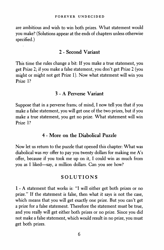are ambitious and wish to win both prizes. What statement would you make? (Solutions appear at the ends of chapters unless otherwise specified. )

#### 2 . Second Variant

This time the rules change a bit: If you make a true statement, you get Prize 2; if you make a false statement, you don't get Prize 2 (you might or might not get Prize 1). Now what statement will win you Prize I?

#### 3 . A Perverse Variant

Suppose that in a perverse frame of mind, 1 now tell you that if you make a false statement, you will get one of the two prizes, but if you make a true statement, you get no prize. What statement will win Prize I?

#### 4 . More on the Diabolical Puzzle

Now let us return to the puzzle that opened this chapter: What was diabolical was  $my$  offer to pay you twenty dollars for making me A's offer, because if you took me up on it, 1 could win as much from you as I liked-say, a million dollars. Can you see how?

#### **SOLUTIONS**

1 • A statement that works is: "I will either get both prizes or no prize." If the statement is false, then what it says is not the case, which means that you will get exactly one prize. But you can't get a prize for a false statement. Therefore the statement must be true, and you really will get either both prizes or no prize. Since you did not make a false statement, which would result in no prize, you must get both prizes.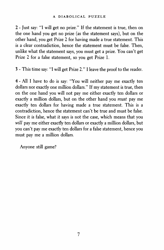2 . Just say: "I will get no prize." If the statement is true, then on the one hand you get no prize (as the statement says), but on the other hand, you get Prize 2 for having made a true statement. This is a clear contradiction, hence the statement must be false. Then, unlike what the statement says, you must get a prize. You can't get Prize 2 for a false statement, so you get Prize 1.

3 . This time say: "I will get Prize 2." I leave the proof to the reader.

4 . All I have to do is say: "You will neither pay me exactly ten dollars nor exactly one million dollars." If my statement is true, then on the one hand you will not pay me either exactly ten dollars or exactly a million dollars, but on the other hand you *must* pay me exactly ten dollars for having made a true statement. This is a contradiction, hence the statement can't be true and must be false. Since it is false, what it says is not the case, which means that you *will* pay me either exactly ten dollars or exactly a million dollars, but you can't pay me exactly ten dollars for a false statement, hence you must pay me a million dollars.

Anyone still game?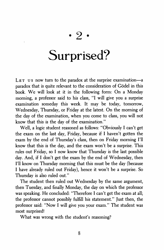# **Surprised?**

LET US now turn to the paradox at the surprise examination-a paradox that is quite relevant to the consideration of Gödel in this book. We will look at it in the following form: On a Monday morning, a professor said to his class, "I will give you a surprise examination someday this week. It may be today, tomorrow, Wednesday, Thursday, or Friday at the latest. On the morning of the day of the examination, when you come to class, you will not know that this is the day of the examination."

Well, a logic student reasoned as follows: "Obviously 1 can't get the exam on the last day, Friday, because if 1 haven't gotten the exam by the end of Thursday's class, then on Friday morning I'll know that this is the day, and the exam won't be a surprise. This rules out Friday, so 1 now know that Thursday is the last possible day. And, if 1 don't get the exam by the end of Wednesday, then I'll know on Thursday morning that this must be the day (because 1 have already ruled out Friday), hence it won't be a surprise. So Thursday is also ruled out."

The student then ruled out Wednesday by the same argument, then Tuesday, and finally Monday, the day on which the professor was speaking. He concluded: "Therefore 1 can't get the exam at all; the professor cannot possibly fulfill his statement." Just then, the professor said: "Now 1 will give you your exam." The student was most surprised!

What was wrong with the student's reasoning?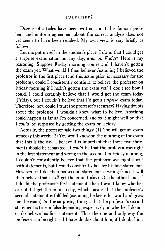Dozens of articles have been written about this famous problem, and uniform agreement about the correct analysis does not yet seem to have been reached. My own view is very briefly as follows:

Let me put myself in the student's place. I claim that I could get a surprise examination on any day, *even on Friday!* Here is my reasoning: Suppose Friday morning comes and I haven't gotten the exam yet. What would I then believe? Assuming I believed the professor in the first place (and this assumption is necessary for the problem), could I consistently continue to believe the professor on Friday morning if I hadn't gotten the exam yet? I don't see how I could. I could certainly believe that I would get the exam today (Friday), but I couldn't believe that I'd get a *surprise* exam today. Therefore, how could I trust the professor's accuracy? Having doubts about the professor, I wouldn't know what to believe. Anything could happen as far as I'm concerned, and so it might well be that I *could* be surprised by getting the exam on Friday.

Actually, the professor said two things: (l) You will get an exam someday this week; (2) You won't know on the morning of the exam that this is the day. I believe it is important that these two statements should be separated. It *could* be that the professor was right in the first statement and wrong in the second. On Friday morning, I couldn't consistently believe that the professor was right about both statements, but I could consistently believe his first statement. However, if I do, then his second statement is wrong (since I will then believe that I *will* get the exam today). On the other hand, if I doubt the professor's first statement, then I won't know whether or not I'll get the exam today, which means that the professor's second statement is fulfilled (assuming he keeps his word and gives me the exam). So the surprising thing is that the professor's second statement is true or false depending respectively on whether I do not or do believe his first statement. Thus the one and only way the professor can be right is if I have doubts about him; if I doubt him,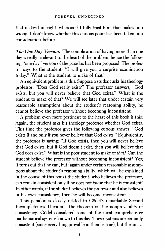that makes him right, whereas if I fully trust him, that makes him wrong! I don't know whether this curious point has been taken into consideration before.

*The One-Day Version.* The complication of having more than one day is really irrelevant to the heart of the problem, hence the following "one-day" version of the paradox has been proposed: The professor says to the student: "I will give you a surprise examination today." What is the student to make of that?

An equivalent problem is this: Suppose a student asks his theology professor, "Does God really exist?" The professor answers, "God exists, but you will never believe that God exists." What is the student to make of that? We will see later that under certain very reasonable assumptions about the student's reasoning ability, he cannot believe the professor without becoming inconsistent.

A problem even more pertinent to the heart of this book is this: Again, the student asks his theology professor whether God exists. This time the professor gives the following curious answer: "God exists if and only if you never believe that God exists." Equivalently, the professor is saying: "If God exists, then you will never believe that God exists, but if God doesn't exist, then you will believe that God does exist." What is the poor student to make of *that?* Can the student believe the professor without becoming inconsistent? Yes; it turns out that he can, but (again under certain reasonable assumptions about the student's reasoning ability, which will be explained in the course of this book) the student, who believes the professor, can remain consistent only if he does not *know* that he is consistent! In other words, if the student believes the professor and also believes in his own consistency, then he will become inconsistent.

This paradox is closely related to Gödel's remarkable Second Incompleteness Theorem-the theorem on the nonprovability of consistency. Godel considered some of the most comprehensive mathematical systems known to this day. These systems are certainly consistent (since everything provable in them is true), but the amaz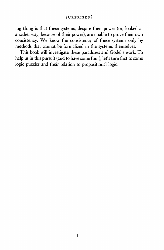ing thing is that these systems, despite their power (or, looked at another way, because of their power), are unable to prove their own consistency. We know the consistency of these systems only by methods that cannot be formalized in the systems themselves.

This book will investigate these paradoxes and Gödel's work. To help us in this pursuit (and to have some fun!), let's turn first to some logic puzzles and their relation to propositional logic.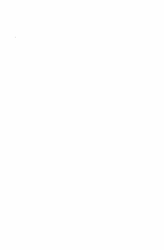$\mathcal{A}^{\text{max}}_{\text{max}}$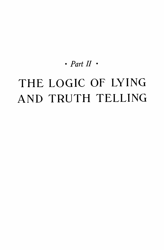*• Part II •* 

## **THE LOGIC OF LYING AND TRUTH TELLING**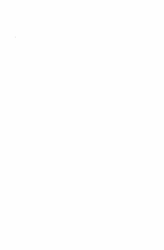$\mathcal{L}(\mathcal{A})$  and  $\mathcal{L}(\mathcal{A})$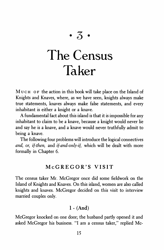### • 3 •

## **The Census Taker**

 $M$  U C H  $\,$  O F the action in this book will take place on the Island of Knights and Knaves, where, as we have seen, knights always make true statements, knaves always make false statements, and every inhabitant is either a knight or a knave.

A fundamental fact about this island is that it is impossible for any inhabitant to claim to be a knave, because a knight would never lie and say he is a knave, and a knave would never truthfully admit to being a knave.

The following four problems will introduce the logical connectives *and, or, if-then,* and *if-and-only-if,* which will be dealt with more formally in Chapter 6.

#### McGREGOR'S **VISIT**

The census taker Mr. McGregor once did some fieldwork on the Island of Knights and Knaves. On this island, women are also called knights and knaves. McGregor decided on this visit to interview married couples only.

#### 1 • (And)

McGregor knocked on one door; the husband partly opened it and asked McGregor his business. "I am a census taker," replied Mc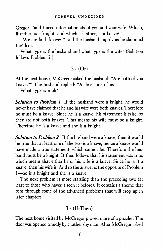Gregor, "and I need information about you and your wife. Which, if either, is a knight, and which, if either, is a knave?"

"We are both knaves!" said the husband angrily as he slammed the'door.

What type is the husband and what type is the wife? (Solution follows Problem 2.)

#### $2 \cdot (Or)$

At the next house, McGregor asked the husband: "Are both of you knaves?" The husband replied: "At least one of us is."

What type is each?

*Solution to Problem* 1. If the husband were a knight, he would never have claimed that he and his wife were both knaves. Therefore he must be a knave. Since he is a knave, his statement is false; so they are not both knaves. This means his wife must be a knight. Therefore he is a knave and she is a knight.

*Solution to Problem* 2. If the husband were a knave, then it would be true that at least one of the two is a knave, hence a knave would have made a true statement, which cannot be. Therefore the husband must be a knight. It then follows that his statement was true, which means that either he or his wife is a knave. Since he isn't a knave, then his wife is. And so the answer is the opposite of Problem 1-he is a knight and she is a knave.

The next problem is more startling than the preceding two (at least to those who haven't seen it before). It contains a theme that runs through some of the advanced problems that will crop up in later chapters.

#### $3 \cdot (If-Then)$

The next home visited by McGregor proved more of a puzzler. The door was opened timidly by a rather shy man. After McGregor asked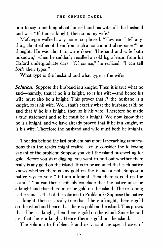him to say something about himself and his wife, all the husband said was: "If 1 am a knight, then so is my wife."

McGregor walked away none too pleased. "How can 1 tell anything about either of them from such a noncommittal response?" he thought. He was about to write down "Husband and wife both unknown," when he suddenly recalled an old logic lesson from his Oxford undergraduate days. "Of course," he realized, "I can tell *both* their types!"

What type is the husband and what type is the wife?

*Solution*. Suppose the husband is a knight. Then it is true what he said—namely, that if he is a knight, so is his wife—and hence his wife must also be a knight. This proves that if the husband is a knight, so is his wife. Well, that's exactly what the husband said; he said that if he is a knight, then so is his wife. Therefore he made a true statement and so he must be a knight. We now know that he is a knight, and we have already proved that if he is a knight, so is his wife. Therefore the husband and wife must both be knights.

The idea behind the last problem has more far-reaching ramifications than the reader might realize. Let us consider the following variant of the problem: Suppose you visit the island prospecting for gold. Before you start digging, you want to find out whether there really is any gold on the island. It is to be assumed that each native knows whether there is any gold on the island or not. Suppose a native says to you: "If 1 am a knight, then there is gold on the island." You can then justifiably conclude that the native must be a knight and that there must be gold on the island. The reasoning is the same as that of the solution to Problem 3: Suppose the native is a knight, then it is really true that if he is a knight, there is gold on the island and hence that there is gold on the island. This proves that if he is a knight, then there is gold on the island. Since he said' just that, he is a knight. Hence there is gold on the island.

The solution to Problem 3 and its variant are special cases of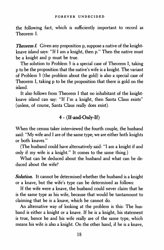the following fact, which is sufficiently important to record as Theorem I.

*Theorem I.* Given any proposition p, suppose a native of the knightknave island says: "If I am a knight, then p." Then the native must be a knight and p must be true.

The solution to Problem 3 is a special case of Theorem I, taking p to be the proposition that the native's wife is a knight. The variant of Problem 3 (the problem about the gold) is also a special case of Theorem I, taking p to be the proposition that there is gold on the island.

It also follows from Theorem I that no inhabitant of the knightknave island can say: "If I'm a knight, then Santa Claus exists" (unless, of course, Santa Claus really does exist) .

#### 4. (If-and-Only-If)

When the census taker interviewed the fourth couple, the husband said: "My wife and I are of the same type; we are either both knights or both knaves."

(The husband could have alternatively said: "I am a knight if and only if my wife is a knight." It comes to the same thing.)

What can be deduced about the husband and what can be deduced about the wife?

*Solution.* It cannot be determined whether the husband is a knight or a knave, but the wife's type can be determined as follows:

If the wife were a knave, the husband could never claim that he is the same type as his wife, because that would be tantamount to claiming that he is a knave, which he cannot do.

An alternative way of looking at the problem is this: The husband is either a knight or a knave. If he is a knight, his statement is true, hence he and his wife really are of the same type, which means his wife is also a knight. On the other hand, if he is a knave,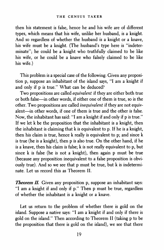then his statement is false, hence he and his wife are of different types, which means that his wife, unlike her husband, is a knight. And so regardless of whether the husband is a knight or a knave, his wife must be a knight. (The husband's type here is "indeterminate"; he could be a knight who truthfully claimed to be like his wife, or he could be a knave who falsely claimed to be like his wife.)

This problem is a special case of the following: Given any proposition p, suppose an inhabitant of the island says, "I am a knight if and only if p is true." What can be deduced?

Two propositions are called *equivalent* if they are either both true or both false-in other words, if either one of them is true, so is the other. Two propositions are called *inequivalent* if they are not equivalent-in other words, if one of them is true and the other is false. Now, the inhabitant has said: "I am a knight if and only if p is true." If we let k be the proposition that the inhabitant is a knight, then the inhabitant is claiming that k is equivalent to p. If he is a knight, then his claim is true, hence k really is equivalent to p; and since k is true (he is a knight), then p is also true. On the other hand, if he is a knave, then his claim is false; k is not really equivalent to p, but since k is false (he is not a knight), then again p must be true (because any proposition inequivalent to a false proposition is obviously true). And so we see that p must be true, but k is indeterminate. Let us record this as Theorem II.

**Theorem II.** Given any proposition p, suppose an inhabitant says: "I am a knight if and only if p." Then p must be true, regardless of whether the inhabitant is a knight or a knave.

Let us return to the problem of whether there is gold on the island. Suppose a native says: "I am a knight if and only if there is gold on the island." Then according to Theorem II (taking p to be the proposition that there is gold on the island), we see that there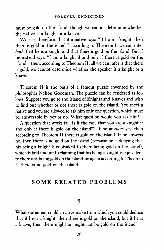must be gold on the island, though we cannot determine whether the native is a knight or a knave.

We see, therefore, that if a native says: "If I am a knight, then there is gold on the island," according to Theorem I, we can infer *both* that he is a knight and that there is gold on the island. But if he instead says: "I am a knight if and only if there is gold on the island," then, according to Theorem II, all we can infer is that there is gold; we cannot determine whether the speaker is a knight or a knave.

Theorem II is the basis of a famous puzzle invented by the philosopher Nelson Goodman. The puzzle can be rendered as follows: Suppose you go to the Island of Knights and Knaves and wish to find out whether or not there is gold on the island. You meet a native and you are allowed to ask him only one question, which must be answerable by yes or no. What question would you ask him?

A question that works is: "Is it the case that you are a knight if and only if there is gold on the island?" If he answers yes, then according to Theorem II there is gold on the island. If he answers no, then there is no gold on the island (because he is denying that his being a knight is equivalent to there being gold on the island), which is tantamount to claiming that his being a knight is equivalent to there *not* being gold on the island, so again according to Theorem II there is no gold on the island.

#### **SOME RELATED PROBLEMS**

5

What statement could a native make from which you could deduce that if he is a knight, then there is gold on the island, but if he is a knave, then there might or might not be gold on the island?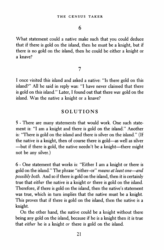#### 6

What statement could a native make such that you could deduce that if there is gold on the island, then he must be a knight, but if there is no gold on the island, then he could be either a knight or a knave?

#### 7

I once visited this island and asked a native: "Is there gold on this island?" All he said in reply was: "I have never claimed that there is gold on this island." Later, I found out that there *was* gold on the island. Was the native a knight or a knave?

#### SOLUTIONS

5 . There are many statements that would work. One such statement is: "I am a knight and there is gold on the island." Another is: "There is gold on the island and there is silver on the island." (If the native is a knight, then of course there is gold—as well as silver -but if there is gold, the native needn't be a knight-there might not be any silver.)

6 . One statement that works is: "Either I am a knight or there is gold on the island." The phrase "either-or" *means at least one-and possibly both.* And so if there is gold on the island, then it is certainly true that *either* the native is a knight or there is gold on the island. Therefore, if there is gold on the island, then the native's statement was true, which in turn implies that the native must be a knight. This proves that if there is gold on the island, then the native is a knight.

On the other hand, the native could be a knight without there being any gold on the island, because if he is a knight then it is true that *either* he is a knight or there is gold on the island.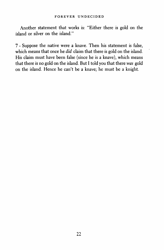Another statement that works is: "Either there is gold on the island or silver on the island."

7 . Suppose the native were a knave. Then his statement is false, which means that once he *did* claim that there is gold on the island. His claim must have been false (since he is a knave), which means that there is no gold on the island. But I told you that there *was* gold on the island. Hence he can't be a knave; he must be a knight.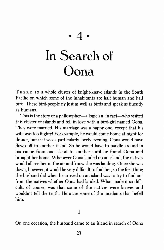### • 4 •

## **In Search of Oona**

THERE IS a whole cluster of knight-knave islands in the South Pacific on which some of the inhabitants are half human and half bird. These bird-people fly just as well as birds and speak as fluently as humans.

This is the story of a philosopher—a logician, in fact—who visited this cluster of islands and fell in love with a bird-girl named Oona. They were married. His marriage was a happy one, except that his wife was too flighty! For example, he would come home at night for dinner, but if it was a particularly lovely evening, Oona would have flown off to another island. So he would have to paddle around in his canoe from one island to another until he found Oona and brought her home. Whenever Oona landed on an island, the natives would all see her in the air and know she was landing. Once she was down, however, it would be very difficult to find her, so the first thing the husband did when he arrived on an island was to try to find out from the natives whether Oona had landed. What made it so difficult, of course, was that some of the natives were knaves and wouldn't tell the truth. Here are some of the incidents that befell him.

1

On one occasion, the husband came to an island in search of Oona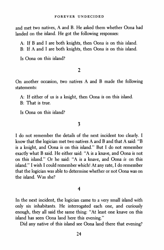and met two natives, A and B. He asked them whether Dona had landed on the island. He got the following responses:

A: If B and I are both knights, then Dona is on this island.

B: If A and I are both knights, then Dona is on this island.

Is Dona on this island?

#### 2

*Dn* another occasion, two natives A and B made the following statements:

A: If either of us is a knight, then Dona is on this island.

B: That is true.

Is Dona on this island?

#### 3

I do not remember the details of the next incident too clearly. I know that the logician met two natives A and B and that A said: "B is a knight, and Dona is on this island." But I do not remember exactly what B said. He either said: "A is a knave, and Dona is not on this island." Dr he said: "A is a knave, and Dona *is* on this island." I wish I could remember which! At any rate, I do remember that the logician was able to determine whether or not Dona was on the island. Was she?

#### 4

In the next incident, the logician came to a very small island with only six inhabitants. He interrogated each one, and curiously enough, they all said the same thing: "At least one knave on this island has seen Dona land here this evening."

Did any native of this island see Dona land there that evening?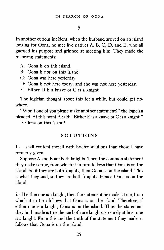5

In another curious incident, when the husband arrived on an island looking for Oona, he met five natives A, B, C, D, and E, who all guessed his purpose and grinned at meeting him. They made the following statements:

- A: Oona is on this island.
- B: Oona is *not* on this island!
- C: Oona was here yesterday.
- D: Oona is not here today, and she was not here yesterday.
- E: Either D is a knave or C is a knight.

The logician thought about this for a while, but could get nowhere.

"Won't one of you please make another statement?" the logician pleaded. At this point A said: "Either E is a knave or C is a knight."

Is Oona on this island?

#### **SOLUTIONS**

1 . I shall content myself with briefer solutions than those I have formerly given.

Suppose A and B are both knights. Then the common statement they make is true, from which it in turn follows that Oona is on the island. So if they are both knights, then Oona is on the island. This is what they said, so they are both knights. Hence Oona is on the island.

2 . If either one is a knight, then the statement he made is true, from which it in turn follows that Oona is on the island. Therefore, if either one is a knight, Oona is on the island. Thus the statement they both made is true, hence both are knights, so surely at least one is a knight. From this and the truth of the statement they made, it follows that Oona is on the island.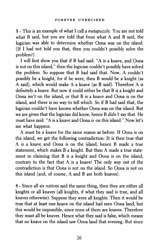3 . This is an example of what I call a *metapuzzle:* You are not told what B said, but you *are* told that from what A and B said, the logician was able to determine whether Oona was on the island. (If I had not told you that, then you couldn't possibly solve the problem!)

I will first show you that if B had said: "A is a knave, and Oona is not on this island," then the logician couldn't possibly have solved the problem. So suppose that B had said that. Now, A couldn't possibly be a knight, for if he were, then B would be a knight (as A said), which would make A a knave (as B said). Therefore A is definitely a knave. But now it could either be that B is a knight and Oona isn't on the island, or that B is a knave and Oona is on the island, and there is no way to tell which. So if B had said that, the logician couldn't have known whether Oona was on the island. But we are given that the logician did know, hence B *didn't* say that. He must have said: "A is a knave and Oona *is* on this island." Now let's see what happens.

A must be a knave for the same reason as before. If Oona is on the island, we get the following contradiction: It is then true that A is a knave and Oona is on the island, hence B made a true statement, which makes B a knight. But then A made a true statement in claiming that B is a knight and Oona is on the island, contrary to the fact that A is a knave! The only way out of the contradiction is that Oona is *not* on the island. So Oona is not on this island (and, of course, A and B are both knaves).

4 . Since all six natives said the same thing, then they are either all knights or all knaves (all knights, if what they said is true, and all knaves otherwise). Suppose they were all knights. Then it would be true that at least one knave on the island had seen Oona land, but this would be impossible, since none of them are knaves. Therefore they must all be knaves. Hence what they said is false, which means that no knave on the island saw Oona land that evening. But since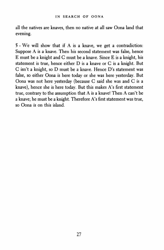all the natives are knaves, then no native at all saw Dona land that evening.

 $5 \cdot$  We will show that if A is a knave, we get a contradiction: Suppose A is a knave. Then his second statement was false, hence E must be a knight and C must be a knave. Since E is a knight, his statement is true, hence either D is a knave or C is a knight. But C isn't a knight, so D must be a knave. Hence D's statement was false, so either Dona is here today or she was here yesterday. But Dona was not here yesterday (because C said she was and C is a knave), hence she is here today. But this makes A's first statement true, contrary to the assumption that A is a knave! Then A can't be a knave; he must be a knight. Therefore A's first statement was true, so Dona is on this island.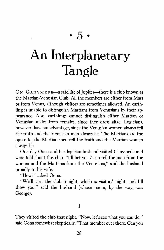## **An Interplanetary Tangle**

ON  $G_A N Y M E D E - a$  satellite of Jupiter-there is a club known as the Martian-Venusian Club. All the members are either from Mars or from Venus, although visitors are sometimes allowed. An earthling is unable to distinguish Martians from Venusians by their appearance. Also, earthlings cannot distinguish either Martian or Venusian males from females, since they dress alike. Logicians, however, have an advantage, since the Venusian women always tell the truth and the Venusian men always lie. The Martians are the opposite; the Martian men tell the truth and the Martian women always lie.

One day Oona and her logician-husband visited Ganymede and were told about this club. "I'll bet you  $I$  can tell the men from the women and the Martians from the Venusians," said the husband proudly to his wife.

"How?" asked Oona.

"We'll visit the club tonight, which is visitors' night, and I'll show you!" said the husband (whose name, by the way, was George).

#### 1

They visited the club that night. "Now, let's see what you can do," said Oona somewhat skeptically. "That member over there. Can you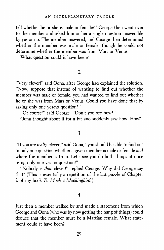tell whether he or she is male or female?" George then went over to the member and asked him or her a single question answerable by yes or no. The member answered, and George then determined whether the member was male or female, though he could not determine whether the member was from Mars or Venus.

What question could it have been?

#### 2

"Very clever!" said Oona, after George had explained the solution. "Now, suppose that instead of wanting to find out whether the member was male or female, you had wanted to find out whether he or she was from Mars or Venus. Could you have done that by asking only one yes-no question?"

"Of course!" said George. "Don't you see how?"

Oona thought about it for a bit and suddenly saw how. How?

#### 3

"If you are *really* clever," said Oona, "you should be able to find out in only one question whether a given member is male or female *and*  where the member is from. Let's see you do both things at once using only one yes-no question!"

"Nobody is *that* clever!" replied George. Why did George say that? (This is essentially a repetition of the last puzzle of Chapter 2 of my book *To Mock a Mockingbird.)* 

#### 4

Just then a member walked by and made a statement from which George and Oona (who was by now getting the hang of things) could deduce that the member must be a Martian female. What statement could it have been?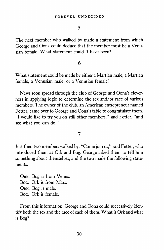#### 5

The next member who walked by made a statement from which George and Oona could deduce that the member must be a Venusian female. What statement could it have been?

#### 6

What statement could be made by either a Martian male, a Martian female, a Venusian male, or a Venusian female?

News soon spread through the club of George and Oona's cleverness in applying logic to determine the sex and/or race of various members. The owner of the club, an American entrepreneur named Fetter, came over to George and Oona's table to congratulate them. "I would like to try you on still other members," said Fetter, "and see what you can do."

#### 7

Just then two members walked by. "Come join us," said Fetter, who introduced them as Ork and Bog. George asked them to tell him something about themselves, and the two made the following statements.

ORK: Bog is from Venus. BOG: Ork is from Mars. ORK: Bog is male. BOG: Ork is female.

From this information, George and Oona could successively identify both the sex and the race of each of them. What is Ork and what is Bog?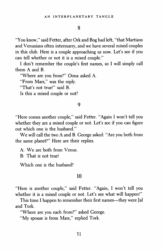#### 8

"You know," said Fetter, after Ork and Bog had left, "that Martians and Venusians often intermarry, and we have several mixed couples in this club. Here is a couple approaching us now. Let's see if you can tell whether or not it is a mixed couple."

I don't remember the couple's first names, so I will simply call them A and B.

"Where are you from?" Oona asked A.

"From Mars," was the reply.

"That's not true!" said B.

Is this a mixed couple or not?

#### 9

"Here comes another couple," said Fetter. "Again I won't tell you whether they are a mixed couple or not. Let's see if you can figure out which one is the husband."

We will call the two A and B. George asked: "Are you both from the same planet?" Here are their replies.

A: We are both from Venus.

B: That is not true!

Which one is the husband?

#### 10

"Here is another couple," said Fetter. "Again, I won't tell you whether it is a mixed couple or not. Let's see what will happen!"

This time I happen to remember their first names—they were Jal and Tork.

"Where are you each from?" asked George.

"My spouse is from Mars," replied Tork.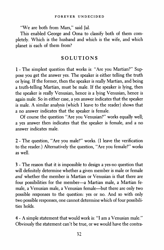"We are both from Mars," said Jal.

This enabled George and Oona to classify both of them completely. Which is the husband and which is the wife, and which planet is each of them from?

#### SOLUTIONS

1 . The simplest question that works is: "Are you Martian?" Suppose you get the answer yes. The speaker is either telling the truth or lying. If the former, then the speaker is really Martian, and being a truth-telling Martian, must be male. If the speaker is lying, then the speaker is really Venusian, hence is a lying Venusian, hence is again male. So in either case, a yes answer indicates that the speaker is male. A similar analysis (which I leave to the reader) shows that a no answer indicates that the speaker is female.

Of course the question "Are you Venusian?" works equally well; a yes answer then indicates that the speaker is female, and a no answer indicates male.

2 . The question, "Are you male?" works. (I leave the verification to the reader.) Alternatively the question, "Are you female?" works as well.

3 . The reason that it is impossible to design a yes-no question that will definitely determine whether a given member is male or female *and* whether the member is Martian or Venusian is that there are four possibilities for the member-a Martian male, a Martian female, a Venusian male, a Venusian female-but there are only two possible responses to the question: yes or no. And so with only two possible responses, one cannot determine which of four possibilities holds.

4· A simple statement that would work is: "I am a Venusian male." Obviously the statement can't be true, or we would have the contra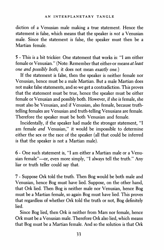diction of a Venusian male making a true statement. Hence the statement is false, which means that the speaker is *not* a Venusian male. Since the statement is false, the speaker must then be a Martian female.

5 . This is a bit trickier: One statement that works is: "I am either female or Venusian." (Note: Remember that either-or means *at least one and possibly both;* it does not mean *exactly one.)* 

If the statement is false, then the speaker is neither female nor Venusian, hence must be a male Martian. But a male Martian does not make false statements, and so we get a contradiction. This proves that the statement must be true, hence the speaker must be either female or Venusian and possibly both. However, if she is female, she must also be Venusian, and if Venusian, also female, because truthtelling females are Venusian and truth-telling Venusians are female. Therefore the speaker must be both Venusian and female.

Incidentally, if the speaker had made the stronger statement, "I am female *and* Venusian," it would be impossible to determine either the sex or the race of the speaker (all that could be inferred is that the speaker is not a Martian male).

6 . One such statement is, "I am either a Martian male or a Venusian female"---or, even more simply, "I always tell the truth." Any liar or truth teller could say that.

7 . Suppose Ork told the truth. Then Bog would be both male and Venusian, hence Bog must have lied. Suppose, on the other hand, that Ork lied. Then Bog is neither male nor Venusian, hence Bog must be a Martian female, so again Bog must have lied. This proves that regardless of whether Ork told the truth or not, Bog definitely lied.

Since Bog lied, then Ork is neither from Mars nor female, hence Ork must be a Venusian male. Therefore Ork also lied, which means that Bog must be a Martian female. And so the solution is that Ork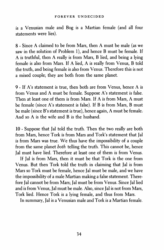is a Venusian male and Bog is a Martian female (and all four statements were lies).

8 . Since A claimed to be from Mars, then A must be male (as we saw in the solution of Problem 1), and hence B must be female. If A is truthful, then A really is from Mars, B lied, and being a lying female is also from Mars. If A lied, A is really from Venus, B told the truth, and being female is also from Venus. Therefore this is not a mixed couple; they are both from the same planet.

9 . If A's statement is true, then both are from Venus, hence A is from Venus and A must be female. Suppose A's statement is false. Then at least one of them is from Mars. If A is from Mars, A must be female (since A's statement is false). If B is from Mars, B must be male (since B's statement is true), hence again, A must be female. And so A is the wife and B is the husband.

10 . Suppose that Jal told the truth. Then the two really are both from Mars, hence Tork is from Mars and Tork's statement that Jal is from Mars was true. We thus have the impossibility of a couple from the same planet *both* telling the truth. This cannot be, hence Tal must have lied. Therefore at least one of them is from Venus.

If Tal is from Mars, then it must be that Tork is the one from Venus. But then Tork told the truth in claiming that Jal is from Mars so Tork must be female, hence Jal must be male, and we have the impossibility of a male Martian making a false statement. Therefore Jal cannot be from Mars; Jal must be from Venus. Since Jal lied and is from Venus, Jal must be male. Also, since Jal is not from Mars, Tork lied. Hence Tork is a lying female, and thus from Mars.

In summary, Jal is a Venusian male and Tork is a Martian female.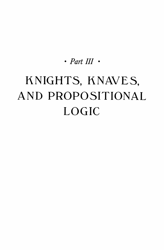### *• Part III •*

## KNIGHTS, KNAVES, AND PROPOSITIONAL LOGIC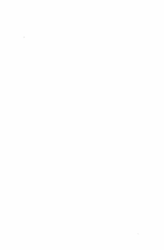$\mathcal{L}^{\text{max}}_{\text{max}}$  and  $\mathcal{L}^{\text{max}}_{\text{max}}$ 

 $\mathcal{O}(\sqrt{N})$  .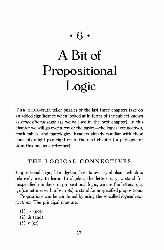### • 6 •

## A **Bit of Propositional Logic**

THE LIAR-truth teller puzzles of the last three chapters take on an added significance when looked at in terms of the subject known as *propositional logic* (as we will see in the next chapter). In this chapter we will go over a few of the basics—the logical connectives, truth tables, and tautologies. Readers already familiar with these concepts might pass right on to the next chapter (or perhaps just skim this one as a refresher).

#### THE LOGICAL CONNECTIVES

Propositional logic, like algebra, has its own symbolism, which is relatively easy to learn. In algebra, the letters x, y, z stand for unspecified numbers; in propositional logic, we use the letters p, q, r, s (sometimes with subscripts) to stand for unspecified propositions.

Propositions can be combined by using the so-called *logical connectives.* The principal ones are:

 $(1) \sim (not)$ (2) & (and) (3) v (or)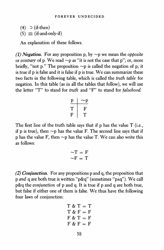- $(4)$   $\supset$  (if-then)
- $(5) \equiv$  (if-and-only-if)

An explanation of these follows.

(1) *Negation*. For any proposition p, by  $\sim$ p we mean the *opposite* or *contrary* of p. We read  $\sim$ p as "it is not the case that p"; or, more briefly, "not p." The proposition  $\sim p$  is called the negation of p; it is true if p is false and it is false if p is true. We can summarize these two facts in the following table, which is called the *truth table* for negation. In this table (as in all the tables that follow), we will use the letter "T" to stand for *truth* and "F" to stand for *falsehood.*<br>  $\frac{P}{T} \rightarrow \frac{P}{F}$ 

$$
\begin{array}{c|c}\nP & \sim p \\
\hline\nT & F \\
F & T\n\end{array}
$$

The first line of the truth table says that if p has the value T (i.e., if p is true), then  $\neg p$  has the value F. The second line says that if p has the value F, then  $\neg p$  has the value T. We can also write this as follows:

$$
\sim T = F
$$

$$
\sim F = T
$$

*(2) Conjunction.* For any propositions p and q, the proposition that p *and* q are both true is written "p&q" (sometimes "pAq"). We call p&q the *conjunction* of p and q. It is true if p and q are both true, but false if either one of them is false. We thus have the following four laws of conjunction:

$$
T \& T = T
$$
  
T \& F = F  
F \& T = F  
F \& F = F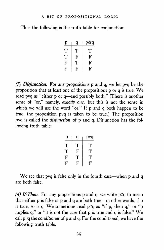Thus the following is the truth table for conjunction:

| P | q | p&q |
|---|---|-----|
| T | T | T   |
| T | F | F   |
| F | T | F   |
| F | F | F   |

*(3) Disjunction.* For any propositions p and q, we let pvq be the proposition that at least one of the propositions p or q is true. We read pvq as "either p or q—and possibly both." (There is another sense of "or," namely, *exactly one,* but this is not the sense in which we will use the word "or." If p and q both happen to be true, the proposition pvq is taken to be true.) The proposition pvq is called the *disjunction* of p and q. Disjunction has the following truth table:

| P  | q   | pvq |
|----|-----|-----|
| Ţ, | .I. | T   |
| T  | F   | T   |
| F  | T   | T   |
| F  | F   | F   |

We see that pvq is false only in the fourth case—when p and q are both false.

*(4) If-Then.* For any propositions p and q, we write  $p$  $\supset q$  to mean that either  $p$  is false or  $p$  and  $q$  are both true-in other words, if  $p$ is true, so is q. We sometimes read  $p \supset q$  as "if p, then q," or "p implies q," or "it is not the case that p is true and q is false." We call p<sup> $\supseteq$ </sup>q the *conditional* of p and q. For the conditional, we have the following truth table.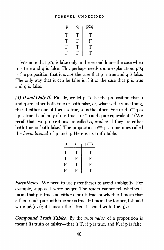| Р | q  | poq |
|---|----|-----|
| T | T  | T   |
| T | F  | F   |
| F | T. | Ţ.  |
| F | F  | T   |

We note that  $p \supset q$  is false only in the second line—the case when p is true and q is false. This perhaps needs some explanation:  $p\rightarrow q$ is the proposition that it is *not* the case that p is true and q is false. The only way that it can be false is if it *is* the case that p is true and q is false.

*(5) If-and-Only-If.* Finally, we let  $p \equiv q$  be the proposition that p and q are either both true or both false, or, what is the same thing, that if either one of them is true, so is the other. We read  $p \equiv q$  as "p is true if and only if q is true," or "p and q are equivalent." (We recall that two propositions are called *equivalent* if they are either both true or both false.) The proposition  $p \equiv q$  is sometimes called the *biconditional* of p and q. Here is its truth table.

| P | q  | $p=q$ |
|---|----|-------|
| Т | T  | T     |
| T | F  | F     |
| F | ٦. | F     |
| F | F  | T     |

*Parentheses.* We need to use parentheses to avoid ambiguity. For example, suppose I write p&qvr. The reader cannot tell whether I mean that p is true and either q or r is true, or whether I mean that either p and q are both true or r is true. If I mean the former, I should write  $p\&(qvr)$ ; if I mean the latter, I should write  $(p\&q)vr$ .

*Compound Truth Tables.* By the *truth value* of a proposition is meant its truth or falsity---that is  $T$ , if p is true, and  $F$ , if p is false.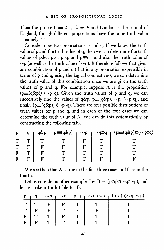Thus the propositions  $2 + 2 = 4$  and London is the capital of England, though different propositions, have the same truth value -namely, T.

Consider now two propositions p and q. If we know the truth value of p and the truth value of q, then we can determine the truth values of p&q, pvq, p $\supseteq q$ , and p $\equiv q$ —and also the truth value of  $\sim$ p (as well as the truth value of  $\sim$ q). It therefore follows that given any combination of p and q (that is, any proposition expressible in terms of p and q, using the logical connectives), we can determine the truth value of this combination once we are given the truth values of p and q. For example, suppose A is the proposition  $(p\equiv (q\&p))\supset(\sim p\supset q)$ . Given the truth values of p and q, we can successively find the values of  $q\&p$ ,  $p\equiv (q\&p)$ ,  $\sim p$ , ( $\sim p\supset q$ ), and finally  $(p\equiv (q\&p))\supset(\sim p\supset q)$ . There are four possible distributions of truth values for p and q, and in each of the four cases we can determine the truth value of A. We can do this systematically by constructing the following table:

|    |   | q&p | $p \equiv (q \& p)$ | $\sim$ n | $\sim$ p $\supset$ q | $(p \equiv (q\&p))\supset(\sim p\supset q)$ |
|----|---|-----|---------------------|----------|----------------------|---------------------------------------------|
| T  | m |     |                     |          |                      |                                             |
| ᠇᠇ |   |     |                     |          |                      |                                             |
| F  |   |     |                     |          | ┯                    |                                             |
| F  |   |     |                     |          |                      |                                             |

We see then that A is true in the first three cases and false in the fourth.

Let us consider another example: Let  $B = (p \supset q) \supset (\sim q \supset \sim p)$ , and let us make a truth table for B.

|              |   |             |              | $p \supset q \mid \sim q \supset \sim p \mid$ | $(p \supset q) \supset (\sim q \supset \sim p)$ |
|--------------|---|-------------|--------------|-----------------------------------------------|-------------------------------------------------|
| T            | T | $\mathbf F$ | $\mathbf{F}$ |                                               |                                                 |
| T            |   | F           | $\mathbf{T}$ |                                               |                                                 |
| $\mathbf{F}$ |   |             |              |                                               |                                                 |
| $\mathbf{F}$ | F | ா           | $\mathbf{T}$ |                                               |                                                 |

41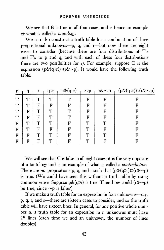We see that B is true in all four cases, and is hence an example of what is called a *tautology.* 

We can also construct a truth table for a combination of three propositional unknowns-p, q, and r-but now there are eight cases to consider (because there are four distributions of T's and F's to p and q, and with each of these four distributions there are two possibilities for  $r$ ). For example, suppose C is the expression  $(p\&(q\exists r))\exists (r\&\sim p)$ . It would have the following truth table:

| P | q | r | $q$ $\supset r$ | $p\&(q\supset r)$ | $\sim_{D}$ | $r\&\sim p$ | $(p\&(q\supset r))\supset(r\&\sim p)$ |
|---|---|---|-----------------|-------------------|------------|-------------|---------------------------------------|
| Т | m | т | m               | ௱                 | F          | F           | F                                     |
| T | m | F | F               | F                 | F          | F           | F                                     |
| T | F | Т | m               | m                 | F          | F           | F                                     |
| T | F | F | m               | m                 | F          | F           | F                                     |
| F | m | m | m               | F                 | ౼          | ᡣ           | F                                     |
| F | m | F | F               | F                 | ᡣ          | F           | F                                     |
| F | F | т | m               | F                 | ᡣ          |             | F                                     |
| F | F | F | m               | F                 | m          | F           |                                       |

We will see that C is false in all eight cases; it is the very opposite of a tautology and is an example of what is called a *contradiction.*  There are *no* propositions p, q, and r such that  $(p\&(q\supset r))\supset(r\&\sim p)$ is true. (We could have seen this without a truth table by using common sense. Suppose  $p\&(q\supset r)$  is true. Then how could (r $\&\sim p$ ) be true, since  $\sim$ p is false?)

If we make a truth table for an expression in four unknowns-say, p, q, r, and s-there are sixteen cases to consider, and so the truth table will have sixteen lines. In general, for any positive whole number n, a truth table for an expression in n unknowns must have  $2<sup>n</sup>$  lines (each time we add an unknown, the number of lines doubles).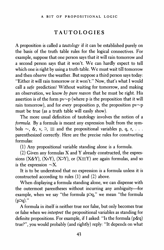#### **TAUTOLOGIES**

A proposition is called a *tautology* if it can be established purely on the basis of the truth table rules for the logical connectives. For example, suppose that one person says that it will rain tomorrow and a second person says that it won't. We can hardly expect to tell which one is right by using a truth table. We must wait till tomorrow and then *observe* the weather. But suppose a third person says today: "Either it will rain tomorrow or it won't." Now, that's what I would call a *safe* prediction! Without waiting for tomorrow, and making an observation, we know *by pure reason* that he must be right. His assertion is of the form  $pv \sim p$  (where p is the proposition that it will rain tomorrow), and for *every* proposition p, the proposition  $pv \sim p$ must be true (as a truth table will easily show).

The more usual definition of tautology involves the notion of a *formula.* By a formula is meant any expression built from the symbols  $\sim$ , &, v,  $\supset \equiv$  and the propositional variables p, q, r, ... parenthesized correctly. Here are the precise rules for constructing formulas:

(1) Any propositional variable standing alone is a formula.

(2) Given any formulas X and Y already constructed, the expressions (X&Y), (XvY), (X $\supset$ Y), or (X $\equiv$ Y) are again formulas, and so is the expression  $\sim$ X.

It is to be understood that no expression is a formula unless it is constructed according to rules (1) and (2) above.

When displaying a formula standing alone, we can dispense with the outermost parentheses without incurring any ambiguity-for example, when we say "the formula  $p \supset q$ ," we mean "the formula  $(p \supseteq q)$ ."

A formula in itself is neither true nor false, but only becomes true or false when we *interpret* the propositional variables as standing for definite propositions. For example, if I asked: "Is the formula (p&q) true?", you would probably (and rightly) reply: "It depends on what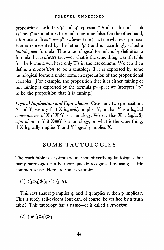propositions the letters 'p' and 'q' represent." And so a formula such as "p&q" is sometimes true and sometimes false. On the other hand, a formula such as " $pv \sim p$ " is *always* true (it is true whatever proposition is represented by the letter "p") and is accordingly called a *tautological* formula. Thus a tautological formula is by definition a formula that is *always* true-or what is the same thing, a truth table for the formula will have only T's in the last column. We can then define a *proposition* to be a tautology if it is expressed by some tautological formula under some interpretation of the propositional variables. (For example, the proposition that it is either raining or not raining is expressed by the formula  $pv \sim p$ , if we interpret "p" to be the proposition that it is raining.)

*Logical Implication and Equivalence.* Given any two propositions X and Y, we say that X *logically* implies Y, or that Y is a *logical consequence* of X if  $X \supseteq Y$  is a tautology. We say that X is *logically equivalent* to Y if  $X \equiv Y$  is a tautology; or, what is the same thing, if X logically implies Y and Y logically implies X.

#### SOME TAUTOLOGIES

The truth table is a systematic method of verifying tautologies, but many tautologies can be more quickly recognized by using a little common sense. Here are some examples:

(1)  $((p \supseteq q) \& (q \supseteq r)) \supseteq (p \supseteq r)$ .

This says that if p implies q, and if q implies r, then p implies r. This is surely self-evident (but can, of course, be verified by a truth table). This tautology has a name-it is called a *syllogism.* 

 $(2)$   $(p\&(p\supseteq q))\supseteq q$ .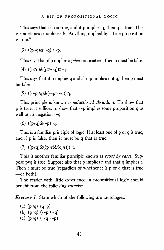This says that if p is true, and if p implies q, then q is true. This is sometimes paraphrased: "Anything implied by a true proposition is true."

(3)  $((p \supset q) \& \sim q) \supset \sim p$ .

This says that if p implies a *false* proposition, then p must be false.

(4)  $((p \supseteq q) \& (p \supseteq \sim q)) \supseteq \sim p$ .

This says that if p implies q and also p implies not q, then p must be false.

(5)  $((\sim p \supseteq q) \& (\sim p \supseteq \sim q)) \supseteq p$ .

This principle is known as *reductio ad absurdum.* To show that p is true, it suffices to show that  $\sim$ p implies some proposition q as well as its negation  $\sim q$ .

(6)  $((\text{pvq})<\sim p)$  $\supseteq q$ .

This is a familiar principle of logic: If at least one of p or q is true, and if p is false, then it must be q that is true.

(7)  $((\text{pvq})\&((\text{p}\supseteq r)\&(\text{q}\supseteq r)))\supseteq r.$ 

This is another familiar principle known as *proof by cases.* Suppose pvq is true. Suppose also that p implies r and that q implies r. Then r must be true (regardless of whether it is p or q that is true -or both).

The reader with little experience in propositional logic should benefit from the following exercise.

*Exercise* 1. State which of the following are tautologies.

(a)  $(p \supseteq q) \supseteq (q \supseteq p)$ (b)  $(p \supseteq q) \supseteq (\sim p \supseteq \sim q)$ 

(c)  $(p\supset q)\supset(\sim q\supset\sim p)$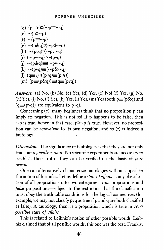(d) 
$$
(p \equiv q) \supset (\sim p \equiv \sim q)
$$
  
\n(e)  $\sim (p \supset \sim p)$   
\n(f)  $\sim (p \equiv \sim p)$   
\n(g)  $\sim (p \& q) \supset (\sim p \& \sim q)$   
\n(h)  $\sim (p \lor q) \supset (\sim p \lor \sim q)$   
\n(i)  $(\sim pv \sim q) \supset (\sim py)$   
\n(j)  $\sim (p \& q) \equiv (\sim p \& \sim q)$   
\n(k)  $\sim (p \lor q) \equiv (\sim p \& \sim q)$   
\n(l)  $(q \equiv r) \supset ((p \supset q) \equiv (p \supset r))$   
\n(m)  $(p \equiv (p \& q)) \equiv (q \equiv (p \lor q))$ 

*Answers.* (a) No, (b) No, (c) Yes, (d) Yes, (e) No! (f) Yes, (g) No, (h) Yes, (i) No, (j) Yes, (k) Yes, (l) Yes, (m) Yes (both  $p \equiv (p\&q)$  and  $(q\equiv(pvq))$  are equivalent to p $\supseteq q$ .

Concerning (e), many beginners think that no proposition p can imply its negation. This is not so! If p happens to be false, then  $\sim$ p is true, hence in that case,  $p \rightarrow p$  *is* true. However, no proposition can be *equivalent* to its own negation, and so (f) is indeed a tautology.

*Discussion.* The significance of tautologies is that they are not only true, but *logically certain.* No scientific experiments are necessary to establish their truth-they can be verified on the basis of *pure reason.* 

One can alternatively characterize tautologies without appeal to the notion of formulas. Let us define a *state of affairs* as any classification of all propositions into two *categories-true* propositions and *false* propositions—subject to the restriction that the classification must obey the truth table conditions for the logical connectives (for example, we may not classify pvq as true if p and q are both classified as false). A tautology, then, is a proposition which is true in every *possible state of affairs.* 

This is related to Leibniz's notion of other possible worlds. Leibniz claimed that of all possible worlds, this one was the best. Frankly,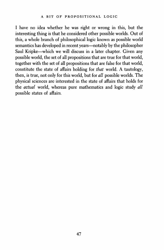I have no idea whether he was right or wrong in this, but the interesting thing is that he considered other possible worlds. Out of this, a whole branch of philosophical logic known as possible world semantics has developed in recent years—notably by the philosopher Saul Kripke-which we will discuss in a later chapter. Given any possible world, the set of all propositions that are true for that world, together with the set of all propositions that are false for that world, constitute the state of affairs holding for *that* world. A tautology, then, is true, not only for this world, but for *all* possible worlds. The physical sciences are interested in the state of affairs that holds for the *actual* world, whereas pure mathematics and logic study *all*  possible states of affairs.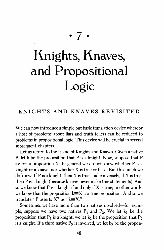### • 7 •

## **Knights, Knaves, and Propositional Logic**

#### KNIGHTS AND KNAVES REVISITED

We can now introduce a simple but basic translation device whereby a host of problems about liars and truth tellers can be reduced to problems in propositional logic. This device will be crucial in several subsequent chapters.

Let us return to the Island of Knights and Knaves. Given a native P, let k be the proposition that P is a knight. Now, suppose that P asserts a proposition  $X$ . In general we do not know whether  $P$  is a knight or a knave, nor whether X is true or false. But this much we do know: If P is a knight, then X is true, and conversely, if X is true, then P is a knight (because knaves never make true statements). And so we know that  $P$  is a knight if and only if  $X$  is true; in other words, we know that the proposition  $k\equiv X$  is a true proposition. And so we translate "P asserts  $X$ " as "k $\equiv$ X."

Sometimes we have more than two natives involved—for example, suppose we have two natives  $P_1$  and  $P_2$ . We let  $k_1$  be the proposition that  $P_1$  is a knight; we let  $k_2$  be the proposition that  $P_2$ is a knight. If a third native  $P_3$  is involved, we let  $k_3$  be the proposi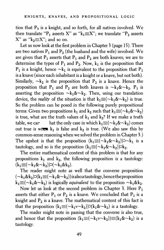tion that  $P_3$  is a knight, and so forth, for all natives involved. We then translate "P<sub>1</sub> asserts X" as "k<sub>1</sub> $\equiv$ X"; we translate "P<sub>2</sub> asserts X" as " $k_2 \equiv X$ "; and so on.

Let us now look at the first problem in Chapter 3 (page 15). There are two natives  $P_1$  and  $P_2$  (the husband and the wife) involved. We are given that  $P_1$  asserts that  $P_1$  and  $P_2$  are both knaves; we are to determine the types of  $P_1$  and  $P_2$ . Now,  $k_1$  is the proposition that  $P_1$  is a knight, hence  $\sim k_1$  is equivalent to the proposition that  $P_1$ is a knave (since each inhabitant is a knight or a knave, but not both). Similarly,  $-k_2$  is the proposition that P<sub>2</sub> is a knave. Hence the proposition that P<sub>1</sub> and P<sub>2</sub> are both knaves is  $\sim k_1 \& \sim k_2$ . P<sub>1</sub> is asserting the proposition  $\sim k_1 \& \sim k_2$ . Then, using our translation device, the *reality* of the situation is that  $k_1 \equiv (\sim k_1 \& \sim k_2)$  is true. So the problem can be posed in the following purely propositional terms: Given two propositions  $k_1$  and  $k_2$  such that  $k_1 \equiv (\sim k_1 \& \sim k_2)$ is true, what are the truth values of  $k_1$  and  $k_2$ ? If we make a truth table, we car hat the only case in which  $k_1 \equiv (\sim k_1 \& \sim k_2)$  comes out true is wreak  $k_1$  is false and  $k_2$  is true. (We also saw this by common-sense reasoning when we solved the problem in Chapter 3.) The upshot is that the proposition  $(k_1 \equiv (\sim k_1 \& \sim k_2)) \rightarrow \sim k_1$  is a tautology, and so is the proposition  $(k_1 \equiv (\sim k_1 \& \sim k_2))$   $\supset k_2$ .

The entire mathematical content of this problem is that for any propositions  $k_1$  and  $k_2$ , the following proposition is a tautology:  $(k_1 \equiv (-k_1 \& \sim k_2)) \supset (-k_1 \& k_2).$ 

The reader might note as well that the converse proposition  $(-k_1 \& k_2)$  $\supset$  $(k_1 \equiv (-k_1 \& \sim k_2)$ ) isalsoa tautology, hence the proposition  $k_1 \equiv (\sim k_1 \& \sim k_2)$  is logically *equivalent* to the proposition  $\sim k_1 \& k_2$ .

Now let us look at the second problem in Chapter 3. Here  $P_1$ asserts that either  $P_1$  or  $P_2$  is a knave. We concluded that  $P_1$  is a knight and  $P_2$  is a knave. The mathematical content of this fact is that the proposition  $(k_1 \equiv (\sim k_1 v \sim k_2))$   $\supset (k_1 < k_2)$  is a tautology.

The reader might note in passing that the converse is also true, and hence that the proposition  $(k_1 \equiv (\sim k_1 v \sim k_2))\equiv (k_1 \& \sim k_2)$  is a tautology.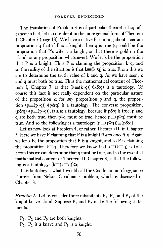The translation of Problem 3 is of particular theoretical significance; in fact, let us consider it in the more general form of Theorem I, Chapter 3 (page 18). We have a native P claiming about a certain proposition q that if P is a knight, then q is true (q could be the proposition that P's wife is a knight, or that there is gold on the island, or any proposition whatsoever). We let k be the proposition that P is a knight. Thus P is claiming the proposition  $k\geq q$ , and so the reality of the situation is that  $k \equiv (k \geq q)$  is true. From this we are to determine the truth value of k and q. As we have seen, k and q must both be true. Thus the mathematical content of Theorem I, Chapter 3, is that  $(k\equiv (k\geq q))\supset (k\&q)$  is a tautology. Of course this fact is not really dependent on the particular nature of the proposition k; for *any* proposition p and q, the proposition  $(p\equiv(p\supset q))\supset (p\&q)$  is a tautology. The converse proposition,  $(p\&q)$  $(p\equiv(p\rightarrow q))$ , is also a tautology, because if p&q is true, p and q are both true, then  $p \supseteq q$  must be true, hence  $p \equiv (p \supseteq q)$  must be true. And so the following is a tautology:  $(p\equiv(p\supset q)) \equiv (p\&q)$ .

Let us now look at Problem 4, or rather Theorem II, in Chapter 3. Here we have P claiming that P is a knight if *and only* if q. Again we let  $k$  be the proposition that  $P$  is a knight, and so  $P$  is claiming the proposition k $\equiv q$ . Therefore we know that k $\equiv (k \equiv q)$  is true. From this we can determine that q must be true, and so the essential mathematical content of Theorem II, Chapter 3, is that the following is a tautology:  $(k\equiv (k\equiv q))\supset q$ .

This tautology is what I would call the Goodman tautology, since it arises from Nelson Goodman's problem, which is discussed in Chapter 3.

*Exercise 1.* Let us consider three inhabitants  $P_1$ ,  $P_2$ , and  $P_3$  of the knight-knave island. Suppose  $P_1$  and  $P_2$  make the following statements.

 $P_1$ :  $P_2$  and  $P_3$  are both knights.  $P_2$ :  $P_1$  is a knave and  $P_3$  is a knight.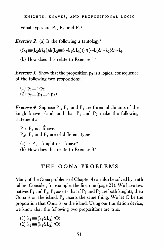What types are  $P_1$ ,  $P_2$ , and  $P_3$ ?

*Exercise* 2. (a) Is the following a tautology?

$$
((k_1 \equiv (k_2 \& k_3)) \& (k_2 \equiv (\sim k_1 \& k_3))) \supset ((\sim k_1 \& \sim k_2) \& \sim k_3)
$$

(b) How does this relate to Exercise I?

*Exercise 3.* Show that the proposition  $p_3$  is a logical consequence of the following two propositions:

(1) 
$$
p_1 \equiv \sim p_2
$$
  
(2)  $p_2 \equiv (p_1 \equiv \sim p_3)$ 

*Exercise 4.* Suppose  $P_1$ ,  $P_2$ , and  $P_3$  are three inhabitants of the knight-knave island, and that  $P_1$  and  $P_2$  make the following statements:

 $P_1$ :  $P_2$  is a knave.  $P_2$ :  $P_1$  and  $P_3$  are of different types.

(a) Is  $P_3$  a knight or a knave? (b) How does this relate to Exercise 3?

#### **THE OONA PROBLEMS**

Many of the Oona problems of Chapter 4 can also be solved by truth tables. Consider, for example, the first one (page 23): We have two natives  $P_1$  and  $P_2$ ;  $P_1$  asserts that if  $P_1$  and  $P_2$  are both knights, then Oona is on the island.  $P_2$  asserts the same thing. We let O be the proposition that Oona is on the island. Using our translation device, we know that the following two propositions are true.

(1)  $k_1 \equiv ((k_1 \& k_2) \supset O)$ 

(2)  $k_2 \equiv ((k_1 \& k_2) \supset O)$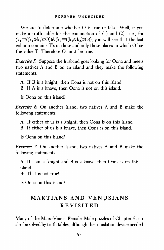We are to determine whether O is true or false. Well, if you make a truth table for the conjunction of  $(1)$  and  $(2)$ —i.e., for  $(k_1\equiv((k_1\&k_2)\supset\bigcirc)(k_2\equiv((k_1\&k_2)\supset\bigcirc))$ , you will see that the last column contains T's in those and only those places in which 0 has the value T. Therefore 0 must be true.

*Exercise* 5. Suppose the husband goes looking for Oona and meets two natives A and B on an island and they make the following statements:

A: If B is a knight, then Oona is not on this island.

B: If A is a knave, then Oona is not on this island.

Is Oona on this island?

*Exercise* 6. On another island, two natives A and B make the following statements:

A: If either of us is a knight, then Oona is on this island.

B: If either of us is a knave, then Oona is on this island.

Is Oona on this island?

*Exercise* 7. On another island, two natives A and B make the following statements.

A: If I am a knight and B is a knave, then Oona is on this island.

B: That is not true!

Is Oona on this island?

#### MARTIANS AND VENUSIANS REVISITED

Many of the Mars-Venus-Female-Male puzzles of Chapter 5 can also be solved by truth tables, although the translation device needed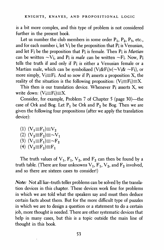is a bit more complex, and this type of problem is not considered further in the present book.

Let us number the club members in some order  $P_1$ ,  $P_2$ ,  $P_3$ , etc., and for each number i, let  $V_i$  be the proposition that  $P_i$  is Venusian, and let Fi be the proposition that Pi is female. Then Pi is *Martian*  can be written  $\sim V_i$ , and P<sub>i</sub> is *male* can be written  $\sim F_i$ . Now, P<sub>i</sub> tells the truth if and only if Pi is either a Venusian female or a Martian male, which can be symbolized  $(Vi\&Fi)v(\sim Vi\&\sim Fi)$ , or more simply,  $V_i \equiv F_i$ . And so now if  $P_i$  asserts a proposition X, the reality of the situation is the following proposition:  $(V_i \equiv F_i) \equiv X$ .

This then is our translation device. Whenever  $P_i$  asserts  $X$ , we write down:  $(V_i \equiv F_i) \equiv X$ .

Consider, for example, Problem 7 of Chapter 5 (page 30)—the case of Ork and Bog. Let  $P_1$  be Ork and  $P_2$  be Bog. Then we are given the following four propositions (after we apply the translation device):

- (1)  $(V_1 \equiv F_1) \equiv V_2$
- (2)  $(V_2 \equiv F_2) \equiv \sim V_1$
- (3)  $(V_1 \equiv F_1) \equiv \sim F_2$
- (4)  $(V_2 \equiv F_2) \equiv F_1$

The truth values of  $V_1$ ,  $F_1$ ,  $V_2$ , and  $F_2$  can then be found by a truth table. (There are four unknowns  $V_1$ ,  $F_1$ ,  $V_2$ , and  $F_2$  involved, and so there are sixteen cases to consider!)

*Note:* Not all liar-truth teller problems can be solved by the translation devices in this chapter. These devices work fine for problems in which we are told what the speakers say and must then deduce certain facts about them. But for the more difficult type of puzzles in which we are to design a question or a statement to do a certain job, more thought is needed. There are other systematic devices that help in many cases, but this is a topic outside the main line of thought in this book.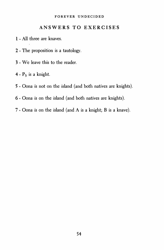#### **ANSWERS TO EXERCISES**

- 1 . All three are knaves.
- 2 . The proposition is a tautology.
- 3 . We leave this to the reader.
- $4 \cdot P_3$  is a knight.
- 5 . Oona is not on the island {and both natives are knights}.
- 6 . Oona is on the island {and both natives are knights}.
- 7 . Oona is on the island {and A is a knight; B is a knave}.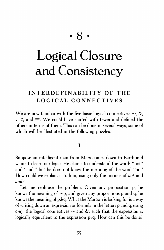### • 8 •

### **Logical Closure and Consistency**

#### **INTERDEFIN ABILITY OF THE LOGICAL CONNECTIVES**

We are now familiar with the five basic logical connectives:  $\sim$ , &, v,  $\supset$ , and  $\equiv$ . We could have started with fewer and defined the others in terms of them. This can be done in several ways, some of which will be illustrated in the following puzzles.

#### 1

Suppose an intelligent man from Mars comes down to Earth and wants to learn our logic. He claims to understand the words "not" and "and," but he does not know the meaning of the word "or." How could we explain it to him, using only the notions of *not* and *and?* 

Let me rephrase the problem. Given any proposition p, he knows the meaning of  $\neg p$ , and given any propositions p and q, he knows the meaning of p&q. What the Martian is looking for is a way of writing down an expression or formula in the letters p and q, using *only* the logical connectives  $\sim$  and  $\&$ , such that the expression is logically equivalent to the expression pvq. How can this be done?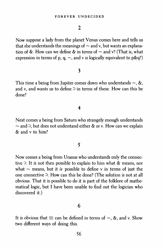#### 2

Now suppose a lady from the planet Venus comes here and tells us that she understands the meanings of  $\sim$  and v, but wants an explanation of &. How can we define & in terms of  $\sim$  and v? (That is, what expression in terms of p, q,  $\sim$ , and v is logically equivalent to p&q?)

#### 3

This time a being from Jupiter comes down who understands  $\sim$ , &, and v, and wants us to define  $\supset$  in terms of these. How can this be done?

#### 4

Next comes a being from Saturn who strangely enough understands  $\sim$  and  $\supset$ , but does not understand either & or v. How can we explain & and v to him?

#### 5

Now comes a being from Uranus who understands only the connective  $\supset$ . It is not then possible to explain to him what & means, nor what  $\sim$  means, but it *is* possible to define v in terms of just the one connective  $\supset$ . How can this be done? (The solution is not at all obvious. That it is possible to do it is part of the folklore of mathematical logic, but I have been unable to find out the logician who discovered it.)

#### 6

It is obvious that  $\equiv$  can be defined in terms of  $\sim$ , &, and v. Show two different ways of doing this.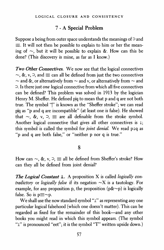#### 7 . A Special Problem

Suppose a being from outer space understands the meanings of  $\supset$  and  $\equiv$ . It will not then be possible to explain to him or her the meaning of  $\sim$ , but it will be possible to explain &. How can this be done? (This discovery is mine, as far as I know.)

*Two Other Connectives.* We now see that the logical connectives  $\sim$ , &, v,  $\supset$ , and  $\equiv$  can all be defined from just the two connectives  $\sim$  and &, or alternatively from  $\sim$  and v, or alternatively from  $\sim$  and ~. Is there just *one* logical connective from which all five connectives can be defined? This problem was solved in 1913 by the logician Henry M. Sheffer. He defined plq to mean that p and q are not both true. The symbol "|" is known as the "Sheffer stroke"; we can read plq as "p and q are incompatible" (at least one is false). He showed that  $\sim$ , &, v,  $\supset$ ,  $\equiv$  are all definable from the stroke symbol. Another logical connective that gives all other connectives is  $\downarrow$ ; this symbol is called the symbol for *joint denial*. We read p<sub>+q</sub> as "p and q are both false," or "neither p nor q is true."

8

How can  $\sim$ , &, v,  $\supset$ ,  $\equiv$  all be defined from Sheffer's stroke? How can they all be defined from joint denial?

*The Logical Constant* 1. A proposition X is called *logically contradictory* or *logically false* if its negation  $\sim$ X is a tautology. For example, for any proposition p, the proposition ( $p\&\sim p$ ) is logically false. So is  $p \equiv \sim p$ .

We shall use the now standard symbol "1" as representing any one particular logical falsehood {which one doesn't matter}. This can be regarded as fixed for the remainder of this book-and any other books you might read in which this symbol appears. {The symbol "" is pronounced "eet"; it is the symbol "T" written upside down.)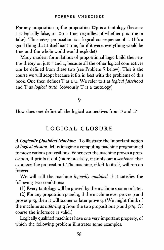For any proposition p, the proposition  $\Box$ p is a tautology (because  $\perp$  is logically false, so  $\perp$  p is true, regardless of whether p is true or false). Thus every proposition is a logical consequence of  $\perp$ . (It's a good thing that 1 itself isn't true, for if it were, everything would be true and the whole world would explode!)

Many modern formulations of propositional logic build their entire theory on just  $\supset$  and  $\perp$ , because all the other logical connectives can be defined from these two (see Problem 9 below). This is the course we will adopt because it fits in best with the problems of this book. One then defines T as 1<sup>21</sup>. We refer to 1 as *logical falsehood* and T as *logical truth* (obviously T is a tautology).

#### 9

How does one define all the logical connectives from  $\supset$  and 1?

#### LOGICAL CLOSURE

*A Logically Qualified Machine.* To illustrate the important notion of *logical closure,* let us imagine a computing machine programmed to prove various propositions. Whenever the machine proves a proposition, it prints it out (more precisely, it prints out a *sentence* that expresses the proposition). The machine, if left to itself, will run on forever.

We will call the machine *logically qualified* if it satisfies the following two conditions:

(1) Every tautology will be proved by the machine sooner or later.

(2) For any proposition p and q, if the machine ever proves p and proves  $p \supset q$ , then it will sooner or later prove q. (We might think of the machine as *inferring* q from the two propositions p and p $\supset q$ . Of course the inference is valid.)

Logically qualified machines have one very important property, of which the following problem illustrates some examples.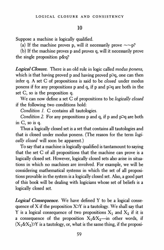#### 10

Suppose a machine is logically qualified.

(a) If the machine proves p, will it necessarily prove  $\sim p$ ?

(b) If the machine proves p and proves q, will it necessarily prove the single proposition p&q?

*Logical Closure.* There is an old rule in logic called *modus ponens,*  which is that having proved p and having proved  $p\supset q$ , one can then infer q. A set C of propositions is said to be *closed* under modus ponens if for any propositions p and q, if p and  $p \supset q$  are both in the set C, so is the proposition q.

We can now define a set C of propositions to be *logically closed*  if the following two conditions hold:

*Condition* 1. C contains all tautologies.

*Condition 2.* For any propositions p and q, if p and p<sup>{2}</sup>q are both in C, so is q.

Thus a logically closed set is a set that contains all tautologies and that is closed under modus ponens. (The reason for the term *logically closed* will soon be apparent.)

To say that a machine is logically qualified is tantamount to saying that the set C of all propositions that the machine can prove is a logically closed set. However, logically closed sets also arise in situations in which no machines are involved. For example, we will be considering mathematical systems in which the set of all propositions provable in the system is a logically closed set. Also, a good part of this book will be dealing with logicians whose set of beliefs is a logically closed set.

*Logical Consequence.* We have defined Y to be a logical consequence of X if the proposition  $X \supset Y$  is a tautology. We shall say that Y is a logical consequence of two propositions  $X_1$  and  $X_2$  if it is a consequence of the proposition  $X_1 \& X_2$ -in other words, if  $(X_1&&X_2)\supset Y$  is a tautology, or, what is the same thing, if the proposi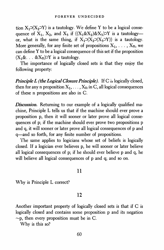tion  $X_1 \supset (X_2 \supset Y)$  is a tautology. We define Y to be a logical consequence of  $X_1$ ,  $X_2$ , and  $X_3$  if  $((X_1 \& X_2) \& X_3) \supset Y$  is a tautology-or, what is the same thing, if  $X_1 \supset (X_2 \supset (X_3 \supset Y))$  is a tautology. More generally, for any finite set of propositions  $X_1, \ldots, X_n$ , we can define Y to be a logical consequence of this set if the proposition  $(X_1\&\ldots \& X_n)$ <sup> $\supset$ Y is a tautology.</sup>

The importance of logically closed sets is that they enjoy the following property:

*Principle L (the Logical Closure Principle).* If C is logically closed, then for any n proposition  $X_1, \ldots, X_n$  in C, all logical consequences of these n propositions are also in C.

*Discussion.* Returning to our example of a logically qualified machine, Principle L tells us that if the machine should ever prove a proposition p, then it will sooner or later prove all logical consequences of p; if the machine should ever prove two propositions p and q, it will sooner or later prove all logical consequences of p and q-and so forth, for any finite number of propositions.

The same applies to logicians whose set of beliefs is logically closed. If a logician ever believes p, he will sooner or later believe all logical consequences of p; if he should ever believe p and q, he will believe all logical consequences of p and q; and so on.

#### 11

Why is Principle L correct?

#### 12

Another important property of logically closed sets is that if C is logically closed and contains some proposition p and its negation  $\sim$ p, then every proposition must be in C.

Why is this so?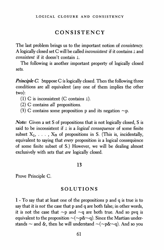#### **CONSISTENCY**

The last problem brings us to the important notion of *consistency.*  A logically closed set C will be called *inconsistent* if it contains 1 and *consistent* if it doesn't contain 1.

The following is another important property of logically closed sets.

*Principle C.* Suppose C is logically closed. Then the following three conditions are all equivalent (anyone of them implies the other two):

- (1) C is inconsistent (C contains 1).
- (2) C contains *all* propositions.
- (3) C contains some proposition p and its negation  $\sim$ p.

*Note:* Given a set S of propositions that is not logically closed, S is said to be inconsistent if  $\perp$  is a *logical consequence* of some finite subset  $X_1, \ldots, X_n$  of propositions in S. (This is, incidentally, equivalent to saying that every proposition is a logical consequence of some finite subset of S.) However, we will be dealing almost exclusively with sets that *are* logically closed.

#### l3

Prove Principle C.

#### **SOLUTIONS**

1 . To say that at least one of the propositions p and q is true is to say that it is *not* the case that p and q are both false; in other words, it is not the case that  $\sim$ p and  $\sim$ q are both true. And so pvq is equivalent to the proposition  $\sim$  ( $\sim$ p& $\sim$ q). Since the Martian understands  $\sim$  and &, then he will understand  $\sim$ ( $\sim$ p& $\sim$ q). And so you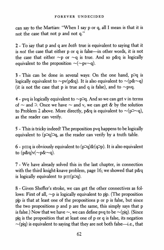can say to the Martian: "When I say p or q, all I mean is that it is not the case that not p and not q."

2 . To say that p and q are *both* true is equivalent to saying that it is *not* the case that either p or q is false-in other words, it is not the case that either  $\sim p$  or  $\sim q$  is true. And so p&q is logically equivalent to the proposition  $\sim$ ( $\sim$ pv $\sim$ q).

3. This can be done in several ways: On the one hand,  $p \geq q$  is logically equivalent to  $\sim$ pv(p&q). It is also equivalent to  $\sim$ (p& $\sim$ q) (it is not the case that p is true and q is false), and to  $\sim$ pvq.

4 · pvq is logically equivalent to  $\sim$   $p$  $\sim$ q. And so we can get v in terms of  $\sim$  and  $\supset$ . Once we have  $\sim$  and v, we can get & by the solution to Problem 2 above. More directly, p&q is equivalent to  $\sim (p \sim q)$ , as the reader can verify.

5 . This is tricky indeed! The proposition pvq happens to be logically equivalent to  $(p \supset q) \supset q$ , as the reader can verify by a truth table.

6  $\cdot$  p $\equiv$ q is obviously equivalent to (p $\supset q\&(q\supset p)$ ). It is also equivalent to  $(p\&q)v(\sim p\&\sim q)$ .

7 . We have already solved this in the last chapter, in connection with the third knight-knave problem, page 16; we showed that p&q is logically equivalent to  $p \equiv (p \supset q)$ .

8 . Given Sheffer's stroke, we can get the other connectives as follows: First of all,  $\sim p$  is logically equivalent to p|p. (The proposition pip is that at least one of the propositions p or p is false, but since the two propositions p and p are the same, this simply says that p is false.) Now that we have  $\sim$ , we can define pvq to be  $\sim$ (p|q). (Since plq is the proposition that at least one of p or q is false, its negation  $\sim$ (p|q) is equivalent to saying that they are not both false—i.e., that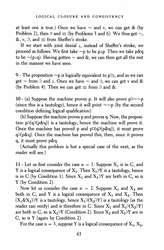at least one is true.) Once we have  $\sim$  and v, we can get & (by Problem 2), then  $\supset$  and  $\equiv$  (by Problems 3 and 6). We thus get  $\sim$ , &, v,  $\supset$ , and  $\equiv$  from Sheffer's stroke.

If we start with joint denial  $\downarrow$ , instead of Sheffer's stroke, we proceed as follows: We first take  $\sim p$  to be p<sub>↓p</sub>. Then we take p&q to be  $\sim$ (p<sub>4</sub>q). Having gotten  $\sim$  and &, we can then get all the rest in the manner we have seen.

9 . The proposition  $\sim p$  is logically equivalent to p $\neg$ 1, and so we can get  $\sim$  from  $\supset$  and  $\perp$ . Once we have  $\sim$  and  $\supseteq$ , we can get v and & (by Problem 4). Then we can get  $\equiv$  from  $\supset$  and &.

10  $\cdot$  (a) Suppose the machine proves p. It will also prove  $p \rightarrow \sim p$ (since this is a tautology), hence it will print  $\sim$  p (by the second condition defining logical qualification).

(b) Suppose the machine proves p and proves q. Now, the proposition  $pD(q(p\&q))$  is a tautology, hence the machine will prove it. Once the machine has proved p and  $p\supset (q\supset (p\&q))$ , it must prove  $qD(p\&q)$ . Once the machine has proved this, then, since it proves q, it must prove p&q.

(Actually this problem is but a special case of the next, as the reader will see.)

11  $\cdot$  Let us first consider the case n = 1: Suppose  $X_1$  is in C, and Y is a logical consequence of  $X_1$ . Then  $X_1 \supset Y$  is a tautology, hence is in C (by Condition 1). Since  $X_1$  and  $X_1 \supset Y$  are both in C, so is Y (by Condition 2).

Now let us consider the case  $n = 2$ : Suppose  $X_1$  and  $X_2$  are both in C, and Y is a logical consequence of  $X_1$  and  $X_2$ . Then  $(X_1\&X_2)$  is a tautology, hence  $X_1$  $\neg(X_2 \supset Y)$  is a tautology (as the reader can verify) and is therefore in C. Since  $X_1$  and  $X_1 \supset (X_2 \supset Y)$ are both in C, so is  $X_2 \supset Y$  (Condition 2). Since  $X_2$  and  $X_2 \supset Y$  are in C, so is Y (again by Condition 2).

For the case  $n = 3$ , suppose Y is a logical consequence of  $X_1, X_2$ ,